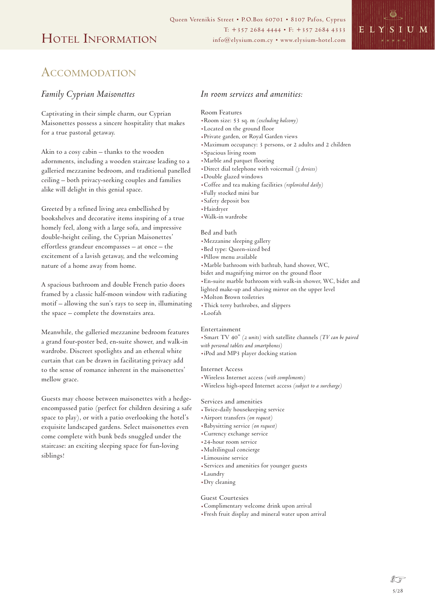

## **ACCOMMODATION**

### *Family Cyprian Maisonettes*

Captivating in their simple charm, our Cyprian Maisonettes possess a sincere hospitality that makes for a true pastoral getaway.

Akin to a cosy cabin – thanks to the wooden adornments, including a wooden staircase leading to a galleried mezzanine bedroom, and traditional panelled ceiling – both privacy-seeking couples and families alike will delight in this genial space.

Greeted by a refined living area embellished by bookshelves and decorative items inspiring of a true homely feel, along with a large sofa, and impressive double-height ceiling, the Cyprian Maisonettes' effortless grandeur encompasses – at once – the excitement of a lavish getaway, and the welcoming nature of a home away from home.

A spacious bathroom and double French patio doors framed by a classic half-moon window with radiating motif – allowing the sun's rays to seep in, illuminating the space – complete the downstairs area.

Meanwhile, the galleried mezzanine bedroom features a grand four-poster bed, en-suite shower, and walk-in wardrobe. Discreet spotlights and an ethereal white curtain that can be drawn in facilitating privacy add to the sense of romance inherent in the maisonettes' mellow grace.

Guests may choose between maisonettes with a hedgeencompassed patio (perfect for children desiring a safe space to play), or with a patio overlooking the hotel's exquisite landscaped gardens. Select maisonettes even come complete with bunk beds snuggled under the staircase: an exciting sleeping space for fun-loving siblings!

### *In room services and amenities:*

#### Room Features

- .Room size: 53 sq. m *(excluding balcony)*
- .Located on the ground floor
- .Private garden, or Royal Garden views
- .Maximum occupancy: 3 persons, or 2 adults and 2 children
- .Spacious living room
- .Marble and parquet flooring
- .Direct dial telephone with voicemail *(3 devices)*
- .Double glazed windows
- .Coffee and tea making facilities *(replenished daily)*
- .Fully stocked mini bar
- .Safety deposit box
- .Hairdryer
- .Walk-in wardrobe

#### Bed and bath

- .Mezzanine sleeping gallery
- .Bed type: Queen-sized bed
- .Pillow menu available
- .Marble bathroom with bathtub, hand shower, WC,
- bidet and magnifying mirror on the ground floor
- .En-suite marble bathroom with walk-in shower, WC, bidet and
- lighted make-up and shaving mirror on the upper level
- .Molton Brown toiletries
- .Thick terry bathrobes, and slippers
- .Loofah

#### Entertainment

.Smart TV 40" *(2 units)* with satellite channels *(TV can be paired with personal tablets and smartphones)*

.iPod and MP3 player docking station

### Internet Access

- .Wireless Internet access *(with compliments)*
- .Wireless high-speed Internet access *(subject to a surcharge)*

#### Services and amenities

- .Twice-daily housekeeping service
- .Airport transfers *(on request)*
- .Babysitting service *(on request)*
- .Currency exchange service
- .24-hour room service
- .Multilingual concierge
- .Limousine service
- .Services and amenities for younger guests
- .Laundry
- .Dry cleaning

### Guest Courtesies

- .Complimentary welcome drink upon arrival
- .Fresh fruit display and mineral water upon arrival